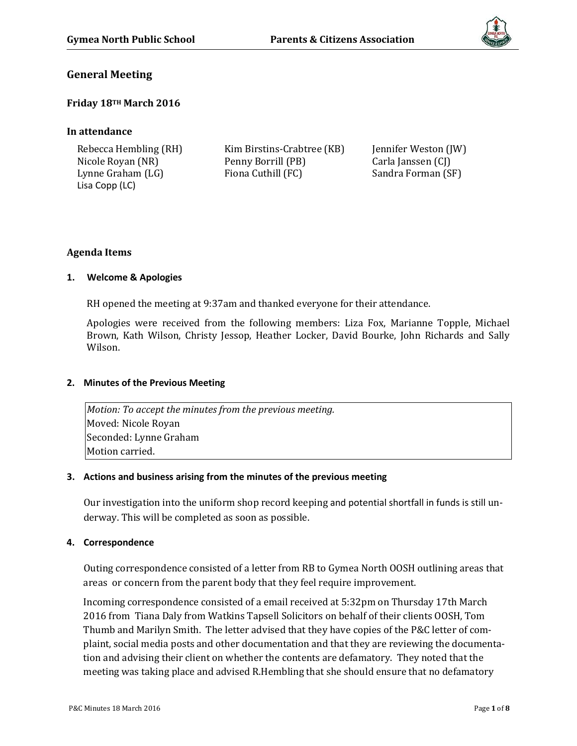

## **General Meeting**

## **Friday 18TH March 2016**

## **In attendance**

| Rebecca Hembling (RH) | Kim Birstins-Crabtree (KB) | Jennifer Weston (JW) |
|-----------------------|----------------------------|----------------------|
| Nicole Royan (NR)     | Penny Borrill (PB)         | Carla Janssen (CJ)   |
| Lynne Graham (LG)     | Fiona Cuthill (FC)         | Sandra Forman (SF)   |
| Lisa Copp (LC)        |                            |                      |

## **Agenda Items**

## **1. Welcome & Apologies**

RH opened the meeting at 9:37am and thanked everyone for their attendance.

Apologies were received from the following members: Liza Fox, Marianne Topple, Michael Brown, Kath Wilson, Christy Jessop, Heather Locker, David Bourke, John Richards and Sally Wilson.

## **2. Minutes of the Previous Meeting**

*Motion: To accept the minutes from the previous meeting.* Moved: Nicole Royan Seconded: Lynne Graham Motion carried.

## **3. Actions and business arising from the minutes of the previous meeting**

Our investigation into the uniform shop record keeping and potential shortfall in funds is still underway. This will be completed as soon as possible.

## **4. Correspondence**

Outing correspondence consisted of a letter from RB to Gymea North OOSH outlining areas that areas or concern from the parent body that they feel require improvement.

Incoming correspondence consisted of a email received at 5:32pm on Thursday 17th March 2016 from Tiana Daly from Watkins Tapsell Solicitors on behalf of their clients OOSH, Tom Thumb and Marilyn Smith. The letter advised that they have copies of the P&C letter of complaint, social media posts and other documentation and that they are reviewing the documentation and advising their client on whether the contents are defamatory. They noted that the meeting was taking place and advised R.Hembling that she should ensure that no defamatory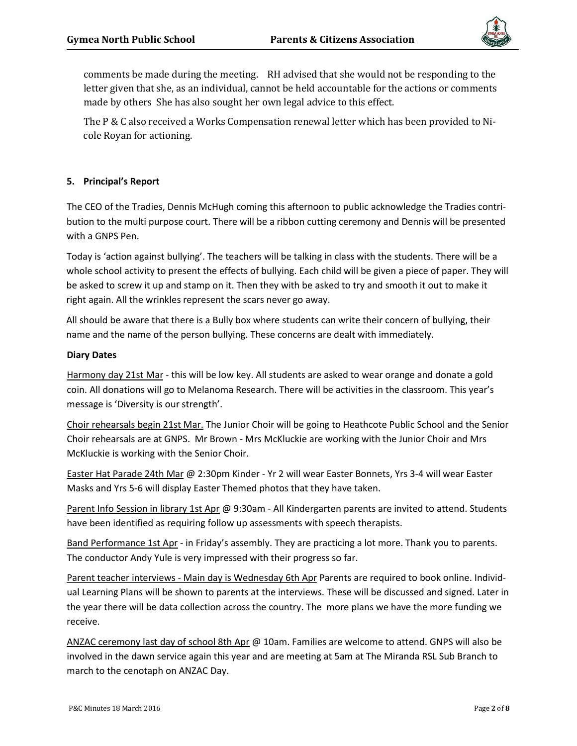

comments be made during the meeting. RH advised that she would not be responding to the letter given that she, as an individual, cannot be held accountable for the actions or comments made by others She has also sought her own legal advice to this effect.

The P & C also received a Works Compensation renewal letter which has been provided to Nicole Royan for actioning.

## **5. Principal's Report**

The CEO of the Tradies, Dennis McHugh coming this afternoon to public acknowledge the Tradies contribution to the multi purpose court. There will be a ribbon cutting ceremony and Dennis will be presented with a GNPS Pen.

Today is 'action against bullying'. The teachers will be talking in class with the students. There will be a whole school activity to present the effects of bullying. Each child will be given a piece of paper. They will be asked to screw it up and stamp on it. Then they with be asked to try and smooth it out to make it right again. All the wrinkles represent the scars never go away.

All should be aware that there is a Bully box where students can write their concern of bullying, their name and the name of the person bullying. These concerns are dealt with immediately.

#### **Diary Dates**

Harmony day 21st Mar - this will be low key. All students are asked to wear orange and donate a gold coin. All donations will go to Melanoma Research. There will be activities in the classroom. This year's message is 'Diversity is our strength'.

Choir rehearsals begin 21st Mar. The Junior Choir will be going to Heathcote Public School and the Senior Choir rehearsals are at GNPS. Mr Brown - Mrs McKluckie are working with the Junior Choir and Mrs McKluckie is working with the Senior Choir.

Easter Hat Parade 24th Mar @ 2:30pm Kinder - Yr 2 will wear Easter Bonnets, Yrs 3-4 will wear Easter Masks and Yrs 5-6 will display Easter Themed photos that they have taken.

Parent Info Session in library 1st Apr @ 9:30am - All Kindergarten parents are invited to attend. Students have been identified as requiring follow up assessments with speech therapists.

Band Performance 1st Apr - in Friday's assembly. They are practicing a lot more. Thank you to parents. The conductor Andy Yule is very impressed with their progress so far.

Parent teacher interviews - Main day is Wednesday 6th Apr Parents are required to book online. Individual Learning Plans will be shown to parents at the interviews. These will be discussed and signed. Later in the year there will be data collection across the country. The more plans we have the more funding we receive.

ANZAC ceremony last day of school 8th Apr @ 10am. Families are welcome to attend. GNPS will also be involved in the dawn service again this year and are meeting at 5am at The Miranda RSL Sub Branch to march to the cenotaph on ANZAC Day.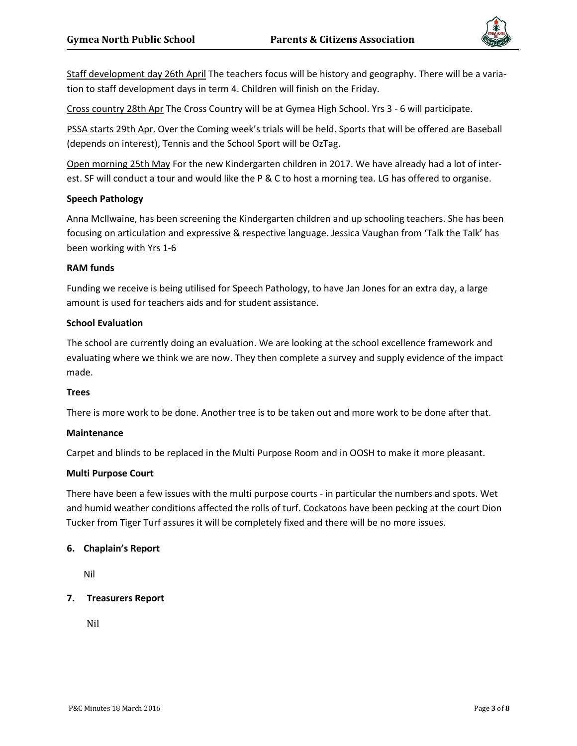

Staff development day 26th April The teachers focus will be history and geography. There will be a variation to staff development days in term 4. Children will finish on the Friday.

Cross country 28th Apr The Cross Country will be at Gymea High School. Yrs 3 - 6 will participate.

PSSA starts 29th Apr. Over the Coming week's trials will be held. Sports that will be offered are Baseball (depends on interest), Tennis and the School Sport will be OzTag.

Open morning 25th May For the new Kindergarten children in 2017. We have already had a lot of interest. SF will conduct a tour and would like the P & C to host a morning tea. LG has offered to organise.

#### **Speech Pathology**

Anna McIlwaine, has been screening the Kindergarten children and up schooling teachers. She has been focusing on articulation and expressive & respective language. Jessica Vaughan from 'Talk the Talk' has been working with Yrs 1-6

#### **RAM funds**

Funding we receive is being utilised for Speech Pathology, to have Jan Jones for an extra day, a large amount is used for teachers aids and for student assistance.

#### **School Evaluation**

The school are currently doing an evaluation. We are looking at the school excellence framework and evaluating where we think we are now. They then complete a survey and supply evidence of the impact made.

#### **Trees**

There is more work to be done. Another tree is to be taken out and more work to be done after that.

#### **Maintenance**

Carpet and blinds to be replaced in the Multi Purpose Room and in OOSH to make it more pleasant.

#### **Multi Purpose Court**

There have been a few issues with the multi purpose courts - in particular the numbers and spots. Wet and humid weather conditions affected the rolls of turf. Cockatoos have been pecking at the court Dion Tucker from Tiger Turf assures it will be completely fixed and there will be no more issues.

#### **6. Chaplain's Report**

Nil

## **7. Treasurers Report**

Nil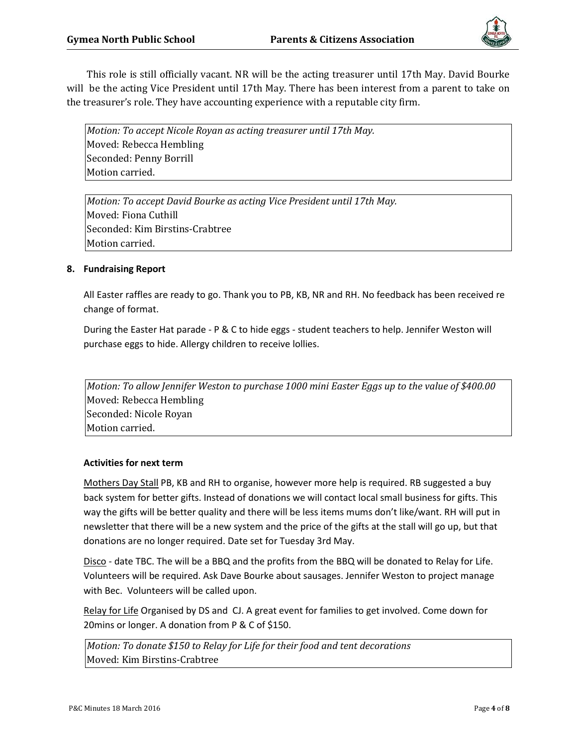

This role is still officially vacant. NR will be the acting treasurer until 17th May. David Bourke will be the acting Vice President until 17th May. There has been interest from a parent to take on the treasurer's role. They have accounting experience with a reputable city firm.

*Motion: To accept Nicole Royan as acting treasurer until 17th May.* Moved: Rebecca Hembling Seconded: Penny Borrill Motion carried.

*Motion: To accept David Bourke as acting Vice President until 17th May.* Moved: Fiona Cuthill Seconded: Kim Birstins-Crabtree Motion carried.

## **8. Fundraising Report**

All Easter raffles are ready to go. Thank you to PB, KB, NR and RH. No feedback has been received re change of format.

During the Easter Hat parade - P & C to hide eggs - student teachers to help. Jennifer Weston will purchase eggs to hide. Allergy children to receive lollies.

*Motion: To allow Jennifer Weston to purchase 1000 mini Easter Eggs up to the value of \$400.00* Moved: Rebecca Hembling Seconded: Nicole Royan Motion carried.

## **Activities for next term**

Mothers Day Stall PB, KB and RH to organise, however more help is required. RB suggested a buy back system for better gifts. Instead of donations we will contact local small business for gifts. This way the gifts will be better quality and there will be less items mums don't like/want. RH will put in newsletter that there will be a new system and the price of the gifts at the stall will go up, but that donations are no longer required. Date set for Tuesday 3rd May.

Disco - date TBC. The will be a BBQ and the profits from the BBQ will be donated to Relay for Life. Volunteers will be required. Ask Dave Bourke about sausages. Jennifer Weston to project manage with Bec. Volunteers will be called upon.

Relay for Life Organised by DS and CJ. A great event for families to get involved. Come down for 20mins or longer. A donation from P & C of \$150.

*Motion: To donate \$150 to Relay for Life for their food and tent decorations* Moved: Kim Birstins-Crabtree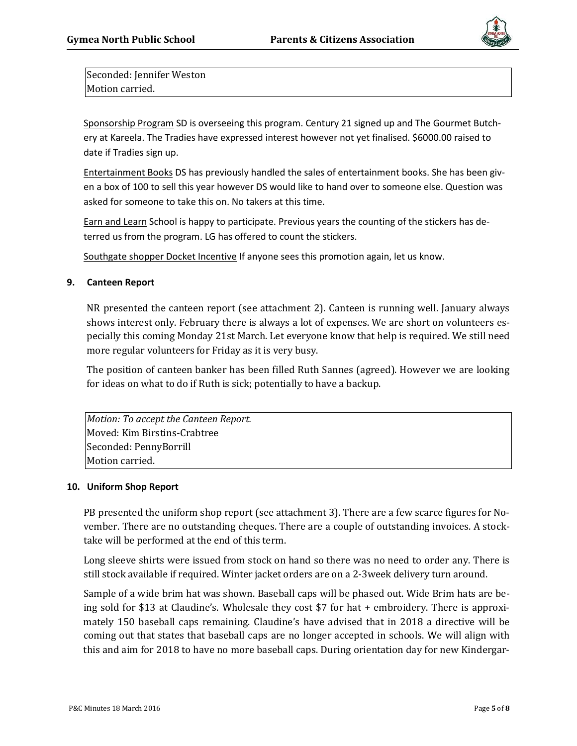

Seconded: Jennifer Weston Motion carried.

Sponsorship Program SD is overseeing this program. Century 21 signed up and The Gourmet Butchery at Kareela. The Tradies have expressed interest however not yet finalised. \$6000.00 raised to date if Tradies sign up.

Entertainment Books DS has previously handled the sales of entertainment books. She has been given a box of 100 to sell this year however DS would like to hand over to someone else. Question was asked for someone to take this on. No takers at this time.

Earn and Learn School is happy to participate. Previous years the counting of the stickers has deterred us from the program. LG has offered to count the stickers.

Southgate shopper Docket Incentive If anyone sees this promotion again, let us know.

## **9. Canteen Report**

NR presented the canteen report (see attachment 2). Canteen is running well. January always shows interest only. February there is always a lot of expenses. We are short on volunteers especially this coming Monday 21st March. Let everyone know that help is required. We still need more regular volunteers for Friday as it is very busy.

The position of canteen banker has been filled Ruth Sannes (agreed). However we are looking for ideas on what to do if Ruth is sick; potentially to have a backup.

*Motion: To accept the Canteen Report.* Moved: Kim Birstins-Crabtree Seconded: PennyBorrill Motion carried.

#### **10. Uniform Shop Report**

PB presented the uniform shop report (see attachment 3). There are a few scarce figures for November. There are no outstanding cheques. There are a couple of outstanding invoices. A stocktake will be performed at the end of this term.

Long sleeve shirts were issued from stock on hand so there was no need to order any. There is still stock available if required. Winter jacket orders are on a 2-3week delivery turn around.

Sample of a wide brim hat was shown. Baseball caps will be phased out. Wide Brim hats are being sold for \$13 at Claudine's. Wholesale they cost \$7 for hat + embroidery. There is approximately 150 baseball caps remaining. Claudine's have advised that in 2018 a directive will be coming out that states that baseball caps are no longer accepted in schools. We will align with this and aim for 2018 to have no more baseball caps. During orientation day for new Kindergar-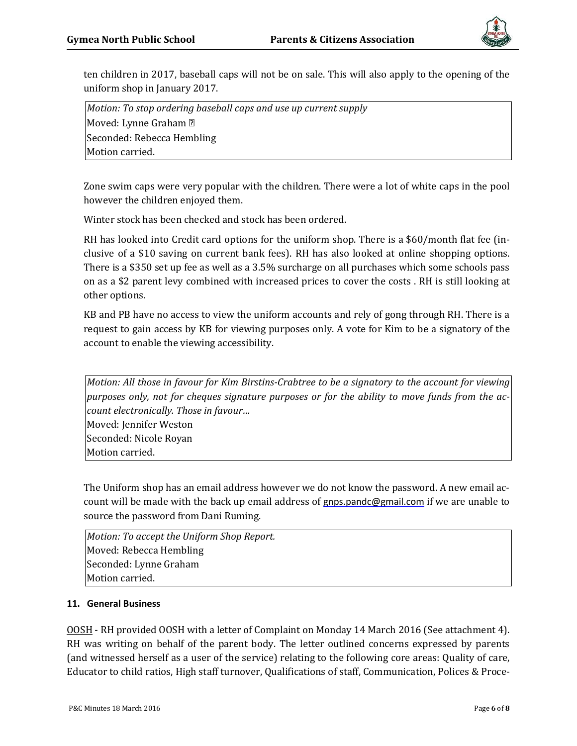

ten children in 2017, baseball caps will not be on sale. This will also apply to the opening of the uniform shop in January 2017.

*Motion: To stop ordering baseball caps and use up current supply* Moved: Lynne Graham ? Seconded: Rebecca Hembling Motion carried.

Zone swim caps were very popular with the children. There were a lot of white caps in the pool however the children enjoyed them.

Winter stock has been checked and stock has been ordered.

RH has looked into Credit card options for the uniform shop. There is a \$60/month flat fee (inclusive of a \$10 saving on current bank fees). RH has also looked at online shopping options. There is a \$350 set up fee as well as a 3.5% surcharge on all purchases which some schools pass on as a \$2 parent levy combined with increased prices to cover the costs . RH is still looking at other options.

KB and PB have no access to view the uniform accounts and rely of gong through RH. There is a request to gain access by KB for viewing purposes only. A vote for Kim to be a signatory of the account to enable the viewing accessibility.

*Motion: All those in favour for Kim Birstins-Crabtree to be a signatory to the account for viewing purposes only, not for cheques signature purposes or for the ability to move funds from the account electronically. Those in favour…* Moved: Jennifer Weston Seconded: Nicole Royan Motion carried.

The Uniform shop has an email address however we do not know the password. A new email account will be made with the back up email address of [gnps.pandc@gmail.com](mailto:gnps.pandc@gmail.com) if we are unable to source the password from Dani Ruming.

*Motion: To accept the Uniform Shop Report.* Moved: Rebecca Hembling Seconded: Lynne Graham Motion carried.

## **11. General Business**

OOSH - RH provided OOSH with a letter of Complaint on Monday 14 March 2016 (See attachment 4). RH was writing on behalf of the parent body. The letter outlined concerns expressed by parents (and witnessed herself as a user of the service) relating to the following core areas: Quality of care, Educator to child ratios, High staff turnover, Qualifications of staff, Communication, Polices & Proce-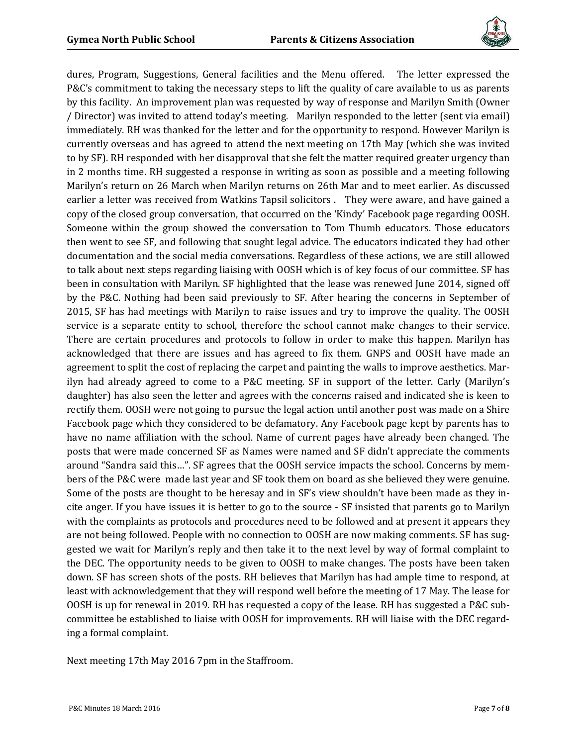

dures, Program, Suggestions, General facilities and the Menu offered. The letter expressed the P&C's commitment to taking the necessary steps to lift the quality of care available to us as parents by this facility. An improvement plan was requested by way of response and Marilyn Smith (Owner / Director) was invited to attend today's meeting. Marilyn responded to the letter (sent via email) immediately. RH was thanked for the letter and for the opportunity to respond. However Marilyn is currently overseas and has agreed to attend the next meeting on 17th May (which she was invited to by SF). RH responded with her disapproval that she felt the matter required greater urgency than in 2 months time. RH suggested a response in writing as soon as possible and a meeting following Marilyn's return on 26 March when Marilyn returns on 26th Mar and to meet earlier. As discussed earlier a letter was received from Watkins Tapsil solicitors . They were aware, and have gained a copy of the closed group conversation, that occurred on the 'Kindy' Facebook page regarding OOSH. Someone within the group showed the conversation to Tom Thumb educators. Those educators then went to see SF, and following that sought legal advice. The educators indicated they had other documentation and the social media conversations. Regardless of these actions, we are still allowed to talk about next steps regarding liaising with OOSH which is of key focus of our committee. SF has been in consultation with Marilyn. SF highlighted that the lease was renewed June 2014, signed off by the P&C. Nothing had been said previously to SF. After hearing the concerns in September of 2015, SF has had meetings with Marilyn to raise issues and try to improve the quality. The OOSH service is a separate entity to school, therefore the school cannot make changes to their service. There are certain procedures and protocols to follow in order to make this happen. Marilyn has acknowledged that there are issues and has agreed to fix them. GNPS and OOSH have made an agreement to split the cost of replacing the carpet and painting the walls to improve aesthetics. Marilyn had already agreed to come to a P&C meeting. SF in support of the letter. Carly (Marilyn's daughter) has also seen the letter and agrees with the concerns raised and indicated she is keen to rectify them. OOSH were not going to pursue the legal action until another post was made on a Shire Facebook page which they considered to be defamatory. Any Facebook page kept by parents has to have no name affiliation with the school. Name of current pages have already been changed. The posts that were made concerned SF as Names were named and SF didn't appreciate the comments around "Sandra said this…". SF agrees that the OOSH service impacts the school. Concerns by members of the P&C were made last year and SF took them on board as she believed they were genuine. Some of the posts are thought to be heresay and in SF's view shouldn't have been made as they incite anger. If you have issues it is better to go to the source - SF insisted that parents go to Marilyn with the complaints as protocols and procedures need to be followed and at present it appears they are not being followed. People with no connection to OOSH are now making comments. SF has suggested we wait for Marilyn's reply and then take it to the next level by way of formal complaint to the DEC. The opportunity needs to be given to OOSH to make changes. The posts have been taken down. SF has screen shots of the posts. RH believes that Marilyn has had ample time to respond, at least with acknowledgement that they will respond well before the meeting of 17 May. The lease for OOSH is up for renewal in 2019. RH has requested a copy of the lease. RH has suggested a P&C subcommittee be established to liaise with OOSH for improvements. RH will liaise with the DEC regarding a formal complaint.

Next meeting 17th May 2016 7pm in the Staffroom.